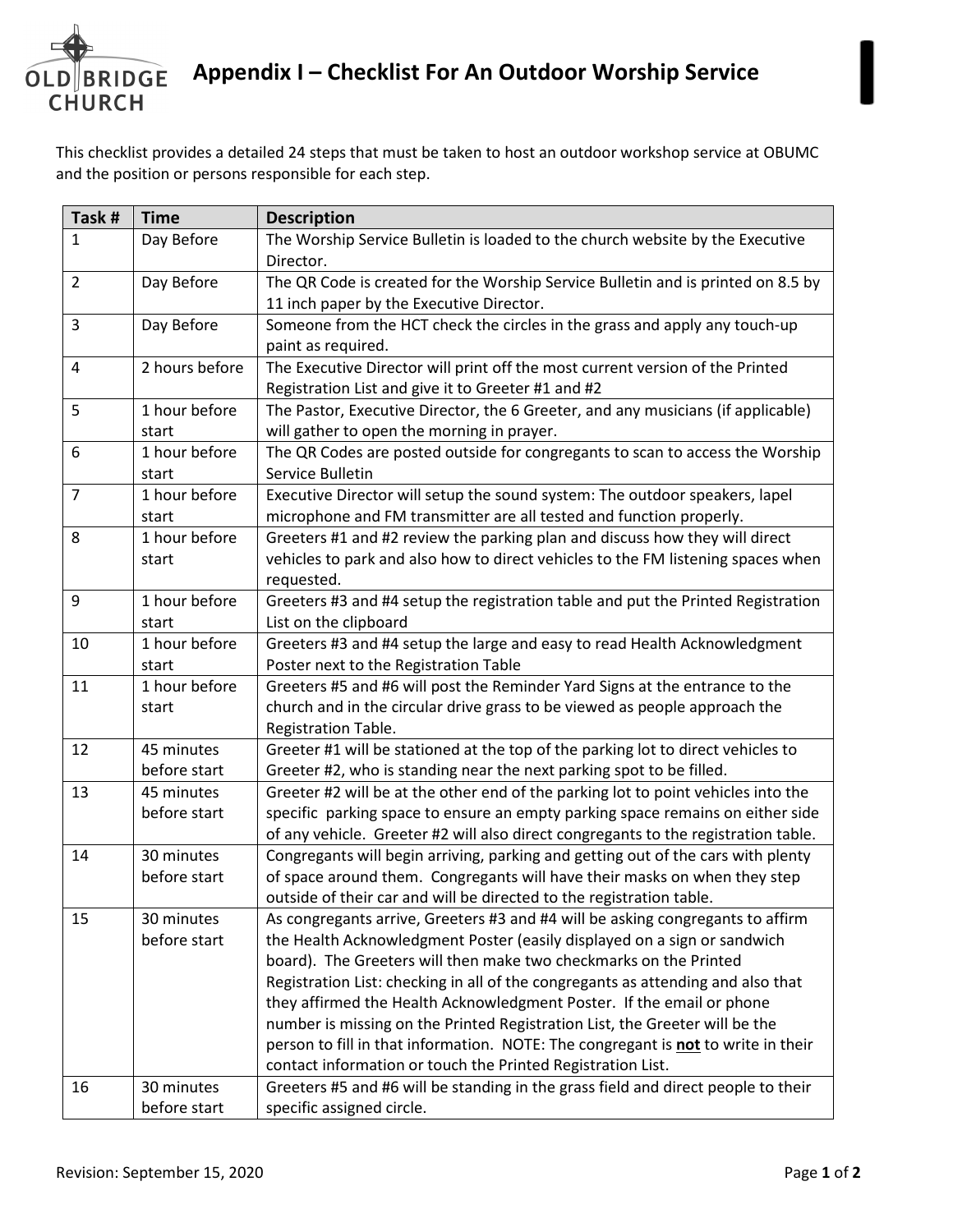

This checklist provides a detailed 24 steps that must be taken to host an outdoor workshop service at OBUMC and the position or persons responsible for each step.

| Task #         | <b>Time</b>    | <b>Description</b>                                                                 |
|----------------|----------------|------------------------------------------------------------------------------------|
| $\mathbf{1}$   | Day Before     | The Worship Service Bulletin is loaded to the church website by the Executive      |
|                |                | Director.                                                                          |
| $\overline{2}$ | Day Before     | The QR Code is created for the Worship Service Bulletin and is printed on 8.5 by   |
|                |                | 11 inch paper by the Executive Director.                                           |
| 3              | Day Before     | Someone from the HCT check the circles in the grass and apply any touch-up         |
|                |                | paint as required.                                                                 |
| 4              | 2 hours before | The Executive Director will print off the most current version of the Printed      |
|                |                | Registration List and give it to Greeter #1 and #2                                 |
| 5              | 1 hour before  | The Pastor, Executive Director, the 6 Greeter, and any musicians (if applicable)   |
|                | start          | will gather to open the morning in prayer.                                         |
| 6              | 1 hour before  | The QR Codes are posted outside for congregants to scan to access the Worship      |
|                | start          | Service Bulletin                                                                   |
| $\overline{7}$ | 1 hour before  | Executive Director will setup the sound system: The outdoor speakers, lapel        |
|                | start          | microphone and FM transmitter are all tested and function properly.                |
| 8              | 1 hour before  | Greeters #1 and #2 review the parking plan and discuss how they will direct        |
|                | start          | vehicles to park and also how to direct vehicles to the FM listening spaces when   |
|                |                | requested.                                                                         |
| 9              | 1 hour before  | Greeters #3 and #4 setup the registration table and put the Printed Registration   |
|                | start          | List on the clipboard                                                              |
| 10             | 1 hour before  | Greeters #3 and #4 setup the large and easy to read Health Acknowledgment          |
|                | start          | Poster next to the Registration Table                                              |
| 11             | 1 hour before  | Greeters #5 and #6 will post the Reminder Yard Signs at the entrance to the        |
|                | start          | church and in the circular drive grass to be viewed as people approach the         |
|                |                | Registration Table.                                                                |
| 12             | 45 minutes     | Greeter #1 will be stationed at the top of the parking lot to direct vehicles to   |
|                | before start   | Greeter #2, who is standing near the next parking spot to be filled.               |
| 13             | 45 minutes     | Greeter #2 will be at the other end of the parking lot to point vehicles into the  |
|                | before start   | specific parking space to ensure an empty parking space remains on either side     |
|                |                | of any vehicle. Greeter #2 will also direct congregants to the registration table. |
| 14             | 30 minutes     | Congregants will begin arriving, parking and getting out of the cars with plenty   |
|                | before start   | of space around them. Congregants will have their masks on when they step          |
|                |                | outside of their car and will be directed to the registration table.               |
| 15             | 30 minutes     | As congregants arrive, Greeters #3 and #4 will be asking congregants to affirm     |
|                | before start   | the Health Acknowledgment Poster (easily displayed on a sign or sandwich           |
|                |                | board). The Greeters will then make two checkmarks on the Printed                  |
|                |                | Registration List: checking in all of the congregants as attending and also that   |
|                |                | they affirmed the Health Acknowledgment Poster. If the email or phone              |
|                |                | number is missing on the Printed Registration List, the Greeter will be the        |
|                |                | person to fill in that information. NOTE: The congregant is not to write in their  |
|                |                | contact information or touch the Printed Registration List.                        |
| 16             | 30 minutes     | Greeters #5 and #6 will be standing in the grass field and direct people to their  |
|                | before start   | specific assigned circle.                                                          |